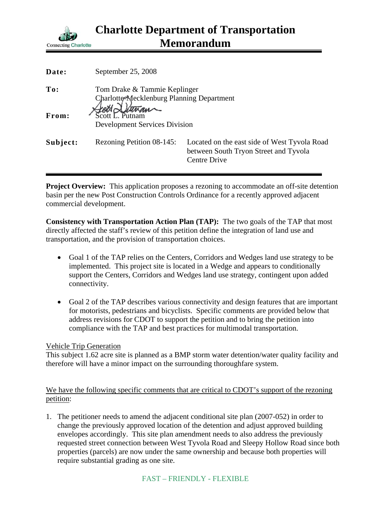

| Date:    | September 25, 2008                                                        |                                                                                                              |
|----------|---------------------------------------------------------------------------|--------------------------------------------------------------------------------------------------------------|
| To:      | Tom Drake & Tammie Keplinger<br>Charlotte-Mecklenburg Planning Department |                                                                                                              |
| From:    | <b>Development Services Division</b>                                      |                                                                                                              |
| Subject: | Rezoning Petition 08-145:                                                 | Located on the east side of West Tyvola Road<br>between South Tryon Street and Tyvola<br><b>Centre Drive</b> |

**Project Overview:** This application proposes a rezoning to accommodate an off-site detention basin per the new Post Construction Controls Ordinance for a recently approved adjacent commercial development.

**Consistency with Transportation Action Plan (TAP):** The two goals of the TAP that most directly affected the staff's review of this petition define the integration of land use and transportation, and the provision of transportation choices.

- Goal 1 of the TAP relies on the Centers, Corridors and Wedges land use strategy to be implemented. This project site is located in a Wedge and appears to conditionally support the Centers, Corridors and Wedges land use strategy, contingent upon added connectivity.
- Goal 2 of the TAP describes various connectivity and design features that are important for motorists, pedestrians and bicyclists. Specific comments are provided below that address revisions for CDOT to support the petition and to bring the petition into compliance with the TAP and best practices for multimodal transportation.

## Vehicle Trip Generation

This subject 1.62 acre site is planned as a BMP storm water detention/water quality facility and therefore will have a minor impact on the surrounding thoroughfare system.

We have the following specific comments that are critical to CDOT's support of the rezoning petition:

1. The petitioner needs to amend the adjacent conditional site plan (2007-052) in order to change the previously approved location of the detention and adjust approved building envelopes accordingly. This site plan amendment needs to also address the previously requested street connection between West Tyvola Road and Sleepy Hollow Road since both properties (parcels) are now under the same ownership and because both properties will require substantial grading as one site.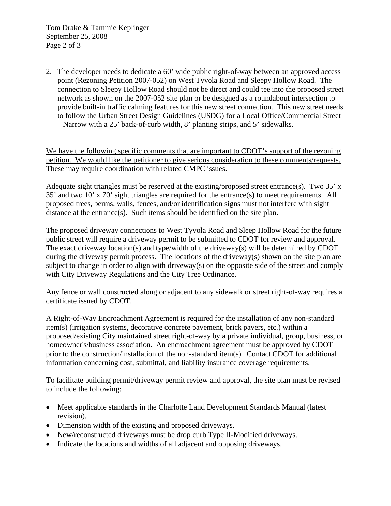Tom Drake & Tammie Keplinger September 25, 2008 Page 2 of 3

2. The developer needs to dedicate a 60' wide public right-of-way between an approved access point (Rezoning Petition 2007-052) on West Tyvola Road and Sleepy Hollow Road. The connection to Sleepy Hollow Road should not be direct and could tee into the proposed street network as shown on the 2007-052 site plan or be designed as a roundabout intersection to provide built-in traffic calming features for this new street connection. This new street needs to follow the Urban Street Design Guidelines (USDG) for a Local Office/Commercial Street – Narrow with a 25' back-of-curb width, 8' planting strips, and 5' sidewalks.

We have the following specific comments that are important to CDOT's support of the rezoning petition. We would like the petitioner to give serious consideration to these comments/requests. These may require coordination with related CMPC issues.

Adequate sight triangles must be reserved at the existing/proposed street entrance(s). Two 35' x 35' and two 10' x 70' sight triangles are required for the entrance(s) to meet requirements. All proposed trees, berms, walls, fences, and/or identification signs must not interfere with sight distance at the entrance(s). Such items should be identified on the site plan.

The proposed driveway connections to West Tyvola Road and Sleep Hollow Road for the future public street will require a driveway permit to be submitted to CDOT for review and approval. The exact driveway location(s) and type/width of the driveway(s) will be determined by CDOT during the driveway permit process. The locations of the driveway(s) shown on the site plan are subject to change in order to align with driveway(s) on the opposite side of the street and comply with City Driveway Regulations and the City Tree Ordinance.

Any fence or wall constructed along or adjacent to any sidewalk or street right-of-way requires a certificate issued by CDOT.

A Right-of-Way Encroachment Agreement is required for the installation of any non-standard item(s) (irrigation systems, decorative concrete pavement, brick pavers, etc.) within a proposed/existing City maintained street right-of-way by a private individual, group, business, or homeowner's/business association. An encroachment agreement must be approved by CDOT prior to the construction/installation of the non-standard item(s). Contact CDOT for additional information concerning cost, submittal, and liability insurance coverage requirements.

To facilitate building permit/driveway permit review and approval, the site plan must be revised to include the following:

- Meet applicable standards in the Charlotte Land Development Standards Manual (latest revision).
- Dimension width of the existing and proposed driveways.
- New/reconstructed driveways must be drop curb Type II-Modified driveways.
- Indicate the locations and widths of all adjacent and opposing driveways.